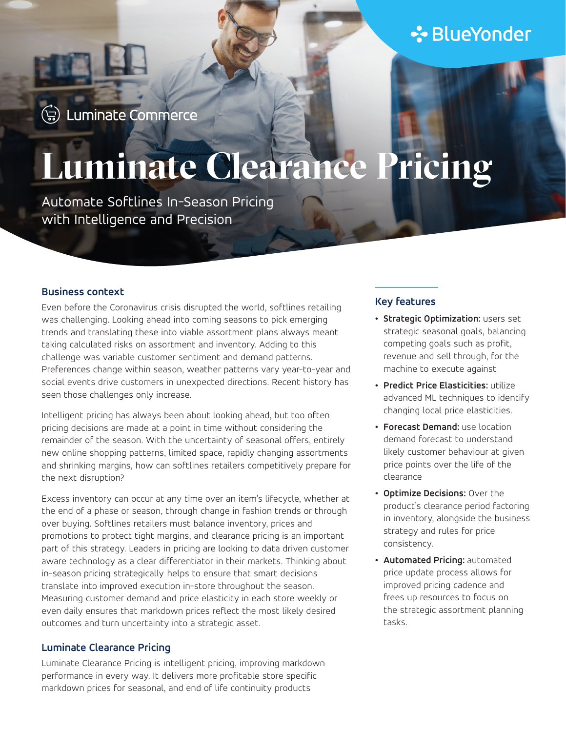## **∻**BlueYonder

() Luminate Commerce

# **Luminate Clearance Pricing**

Automate Softlines In-Season Pricing with Intelligence and Precision

#### **Business context**

Even before the Coronavirus crisis disrupted the world, softlines retailing was challenging. Looking ahead into coming seasons to pick emerging trends and translating these into viable assortment plans always meant taking calculated risks on assortment and inventory. Adding to this challenge was variable customer sentiment and demand patterns. Preferences change within season, weather patterns vary year-to-year and social events drive customers in unexpected directions. Recent history has seen those challenges only increase.

Intelligent pricing has always been about looking ahead, but too often pricing decisions are made at a point in time without considering the remainder of the season. With the uncertainty of seasonal offers, entirely new online shopping patterns, limited space, rapidly changing assortments and shrinking margins, how can softlines retailers competitively prepare for the next disruption?

Excess inventory can occur at any time over an item's lifecycle, whether at the end of a phase or season, through change in fashion trends or through over buying. Softlines retailers must balance inventory, prices and promotions to protect tight margins, and clearance pricing is an important part of this strategy. Leaders in pricing are looking to data driven customer aware technology as a clear differentiator in their markets. Thinking about in-season pricing strategically helps to ensure that smart decisions translate into improved execution in-store throughout the season. Measuring customer demand and price elasticity in each store weekly or even daily ensures that markdown prices reflect the most likely desired outcomes and turn uncertainty into a strategic asset.

### **Luminate Clearance Pricing**

Luminate Clearance Pricing is intelligent pricing, improving markdown performance in every way. It delivers more profitable store specific markdown prices for seasonal, and end of life continuity products

### **Key features**

- **• Strategic Optimization:** users set strategic seasonal goals, balancing competing goals such as profit, revenue and sell through, for the machine to execute against
- **• Predict Price Elasticities:** utilize advanced ML techniques to identify changing local price elasticities.
- **• Forecast Demand:** use location demand forecast to understand likely customer behaviour at given price points over the life of the clearance
- **• Optimize Decisions:** Over the product's clearance period factoring in inventory, alongside the business strategy and rules for price consistency.
- **• Automated Pricing:** automated price update process allows for improved pricing cadence and frees up resources to focus on the strategic assortment planning tasks.